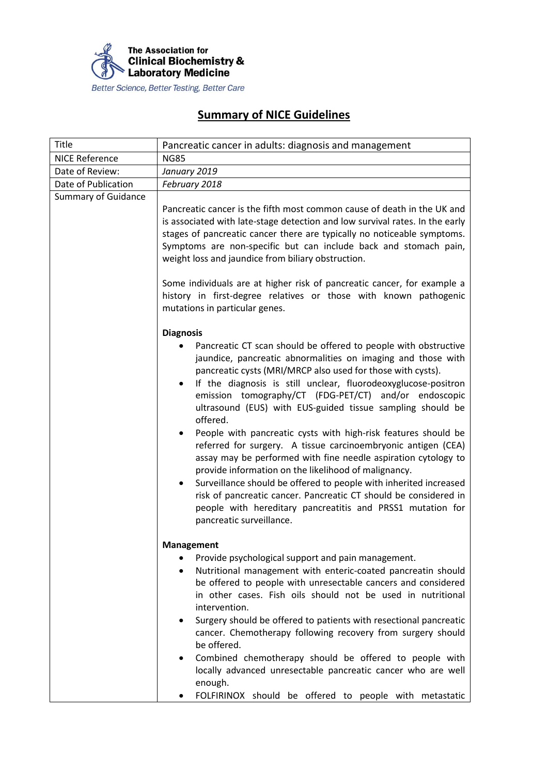

## **Summary of NICE Guidelines**

| Title                      | Pancreatic cancer in adults: diagnosis and management                                                                                                                                                                                                                                                                                                                                                                                                                                                                                                                                                                                                                                                                                                                                                                                                                                                                                             |
|----------------------------|---------------------------------------------------------------------------------------------------------------------------------------------------------------------------------------------------------------------------------------------------------------------------------------------------------------------------------------------------------------------------------------------------------------------------------------------------------------------------------------------------------------------------------------------------------------------------------------------------------------------------------------------------------------------------------------------------------------------------------------------------------------------------------------------------------------------------------------------------------------------------------------------------------------------------------------------------|
| <b>NICE Reference</b>      | <b>NG85</b>                                                                                                                                                                                                                                                                                                                                                                                                                                                                                                                                                                                                                                                                                                                                                                                                                                                                                                                                       |
| Date of Review:            | January 2019                                                                                                                                                                                                                                                                                                                                                                                                                                                                                                                                                                                                                                                                                                                                                                                                                                                                                                                                      |
| Date of Publication        | February 2018                                                                                                                                                                                                                                                                                                                                                                                                                                                                                                                                                                                                                                                                                                                                                                                                                                                                                                                                     |
| <b>Summary of Guidance</b> |                                                                                                                                                                                                                                                                                                                                                                                                                                                                                                                                                                                                                                                                                                                                                                                                                                                                                                                                                   |
|                            | Pancreatic cancer is the fifth most common cause of death in the UK and<br>is associated with late-stage detection and low survival rates. In the early<br>stages of pancreatic cancer there are typically no noticeable symptoms.<br>Symptoms are non-specific but can include back and stomach pain,<br>weight loss and jaundice from biliary obstruction.<br>Some individuals are at higher risk of pancreatic cancer, for example a<br>history in first-degree relatives or those with known pathogenic<br>mutations in particular genes.                                                                                                                                                                                                                                                                                                                                                                                                     |
|                            | <b>Diagnosis</b><br>Pancreatic CT scan should be offered to people with obstructive<br>jaundice, pancreatic abnormalities on imaging and those with<br>pancreatic cysts (MRI/MRCP also used for those with cysts).<br>If the diagnosis is still unclear, fluorodeoxyglucose-positron<br>$\bullet$<br>emission tomography/CT (FDG-PET/CT) and/or endoscopic<br>ultrasound (EUS) with EUS-guided tissue sampling should be<br>offered.<br>People with pancreatic cysts with high-risk features should be<br>referred for surgery. A tissue carcinoembryonic antigen (CEA)<br>assay may be performed with fine needle aspiration cytology to<br>provide information on the likelihood of malignancy.<br>Surveillance should be offered to people with inherited increased<br>$\bullet$<br>risk of pancreatic cancer. Pancreatic CT should be considered in<br>people with hereditary pancreatitis and PRSS1 mutation for<br>pancreatic surveillance. |
|                            | <b>Management</b><br>Provide psychological support and pain management.<br>٠<br>Nutritional management with enteric-coated pancreatin should<br>be offered to people with unresectable cancers and considered<br>in other cases. Fish oils should not be used in nutritional<br>intervention.<br>Surgery should be offered to patients with resectional pancreatic<br>cancer. Chemotherapy following recovery from surgery should<br>be offered.<br>Combined chemotherapy should be offered to people with<br>locally advanced unresectable pancreatic cancer who are well<br>enough.<br>FOLFIRINOX should be offered to people with metastatic                                                                                                                                                                                                                                                                                                   |